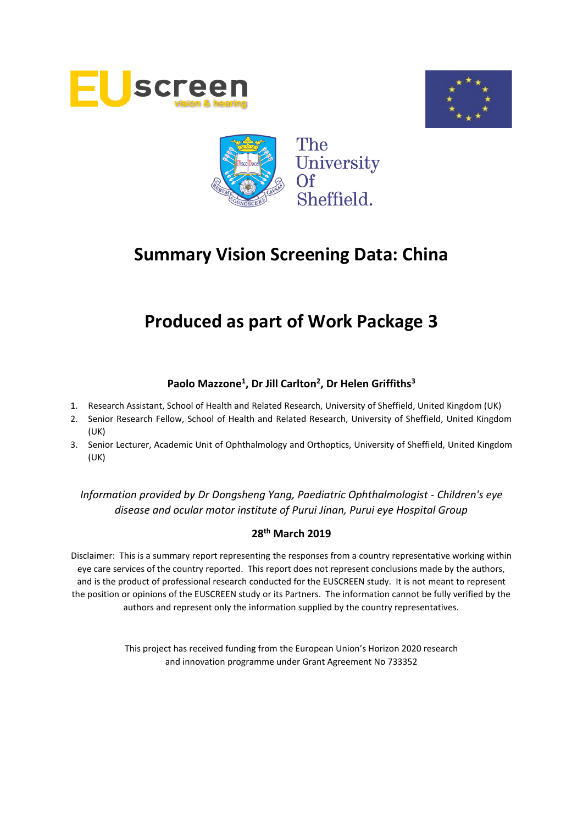





# **Produced as part of Work Package 3**

# **Paolo Mazzone<sup>1</sup> , Dr Jill Carlton<sup>2</sup> , Dr Helen Griffiths<sup>3</sup>**

- 1. Research Assistant, School of Health and Related Research, University of Sheffield, United Kingdom (UK)
- 2. Senior Research Fellow, School of Health and Related Research, University of Sheffield, United Kingdom (UK)
- 3. Senior Lecturer, Academic Unit of Ophthalmology and Orthoptics, University of Sheffield, United Kingdom (UK)

*Information provided by Dr Dongsheng Yang, Paediatric Ophthalmologist - Children's eye disease and ocular motor institute of Purui Jinan, Purui eye Hospital Group*

# **28th March 2019**

Disclaimer: This is a summary report representing the responses from a country representative working within eye care services of the country reported. This report does not represent conclusions made by the authors, and is the product of professional research conducted for the EUSCREEN study. It is not meant to represent the position or opinions of the EUSCREEN study or its Partners. The information cannot be fully verified by the authors and represent only the information supplied by the country representatives.

> This project has received funding from the European Union's Horizon 2020 research and innovation programme under Grant Agreement No 733352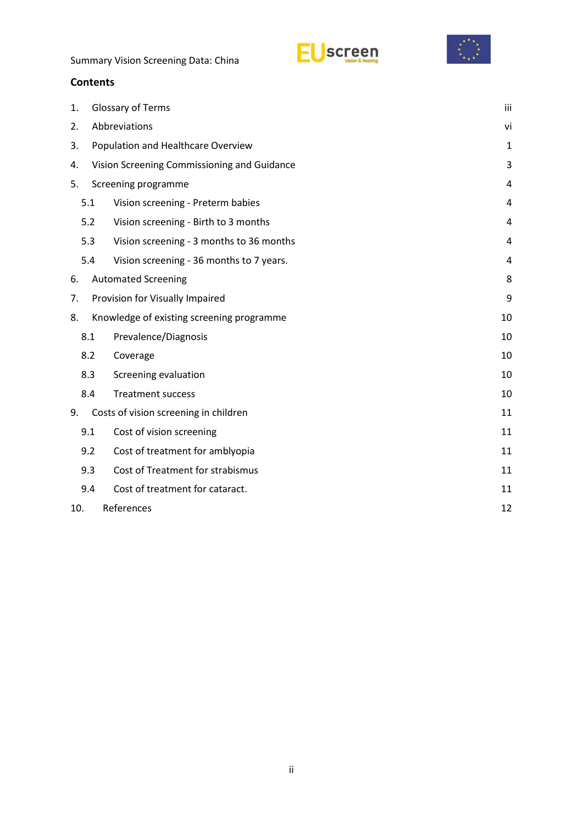



# **Contents**

| 1.                |                                          | Glossary of Terms                           |    |  |  |  |  |
|-------------------|------------------------------------------|---------------------------------------------|----|--|--|--|--|
| 2.                | Abbreviations                            |                                             |    |  |  |  |  |
| 3.                | Population and Healthcare Overview       |                                             |    |  |  |  |  |
| 4.                |                                          | Vision Screening Commissioning and Guidance | 3  |  |  |  |  |
| 5.                | Screening programme                      |                                             |    |  |  |  |  |
|                   | 5.1<br>Vision screening - Preterm babies |                                             |    |  |  |  |  |
|                   | 5.2                                      | Vision screening - Birth to 3 months        | 4  |  |  |  |  |
|                   | 5.3                                      | Vision screening - 3 months to 36 months    | 4  |  |  |  |  |
|                   | 5.4                                      | Vision screening - 36 months to 7 years.    | 4  |  |  |  |  |
| 6.                |                                          | <b>Automated Screening</b>                  | 8  |  |  |  |  |
| 7.                |                                          | Provision for Visually Impaired<br>9        |    |  |  |  |  |
| 8.                |                                          | Knowledge of existing screening programme   | 10 |  |  |  |  |
|                   | 8.1                                      | Prevalence/Diagnosis                        | 10 |  |  |  |  |
|                   | 8.2                                      | Coverage                                    | 10 |  |  |  |  |
|                   | 8.3                                      | Screening evaluation                        | 10 |  |  |  |  |
|                   | 8.4                                      | <b>Treatment success</b>                    | 10 |  |  |  |  |
| 9.                |                                          | Costs of vision screening in children       | 11 |  |  |  |  |
|                   | 9.1                                      | Cost of vision screening                    | 11 |  |  |  |  |
|                   | 9.2                                      | Cost of treatment for amblyopia             | 11 |  |  |  |  |
|                   | 9.3                                      | Cost of Treatment for strabismus            | 11 |  |  |  |  |
|                   | 9.4                                      | Cost of treatment for cataract.             | 11 |  |  |  |  |
| References<br>10. |                                          |                                             |    |  |  |  |  |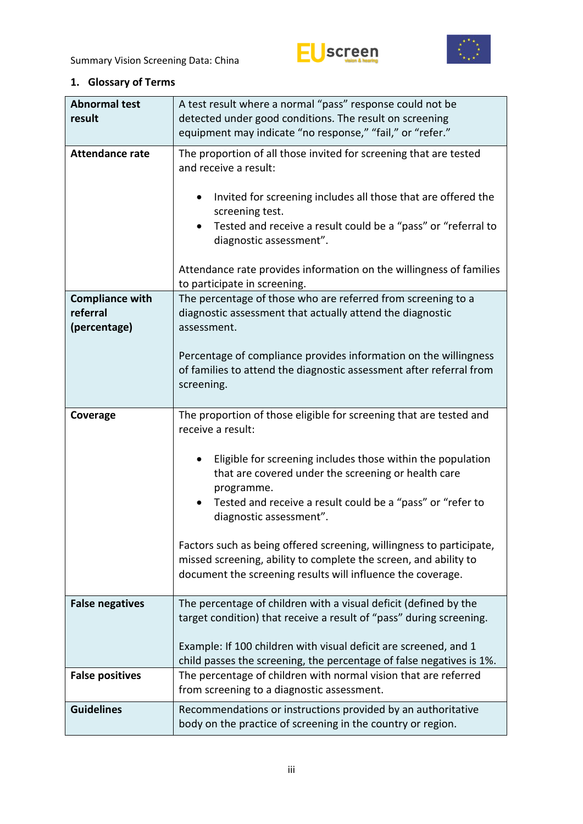



# <span id="page-2-0"></span>**1. Glossary of Terms**

| <b>Abnormal test</b><br>result                     | A test result where a normal "pass" response could not be<br>detected under good conditions. The result on screening<br>equipment may indicate "no response," "fail," or "refer."                                                                                                                                                                                                                                                                                                                                                            |  |  |  |  |  |
|----------------------------------------------------|----------------------------------------------------------------------------------------------------------------------------------------------------------------------------------------------------------------------------------------------------------------------------------------------------------------------------------------------------------------------------------------------------------------------------------------------------------------------------------------------------------------------------------------------|--|--|--|--|--|
| <b>Attendance rate</b>                             | The proportion of all those invited for screening that are tested<br>and receive a result:<br>Invited for screening includes all those that are offered the<br>screening test.<br>Tested and receive a result could be a "pass" or "referral to<br>diagnostic assessment".<br>Attendance rate provides information on the willingness of families<br>to participate in screening.                                                                                                                                                            |  |  |  |  |  |
| <b>Compliance with</b><br>referral<br>(percentage) | The percentage of those who are referred from screening to a<br>diagnostic assessment that actually attend the diagnostic<br>assessment.<br>Percentage of compliance provides information on the willingness<br>of families to attend the diagnostic assessment after referral from<br>screening.                                                                                                                                                                                                                                            |  |  |  |  |  |
| Coverage                                           | The proportion of those eligible for screening that are tested and<br>receive a result:<br>Eligible for screening includes those within the population<br>that are covered under the screening or health care<br>programme.<br>Tested and receive a result could be a "pass" or "refer to<br>$\bullet$<br>diagnostic assessment".<br>Factors such as being offered screening, willingness to participate,<br>missed screening, ability to complete the screen, and ability to<br>document the screening results will influence the coverage. |  |  |  |  |  |
| <b>False negatives</b>                             | The percentage of children with a visual deficit (defined by the<br>target condition) that receive a result of "pass" during screening.<br>Example: If 100 children with visual deficit are screened, and 1<br>child passes the screening, the percentage of false negatives is 1%.                                                                                                                                                                                                                                                          |  |  |  |  |  |
| <b>False positives</b>                             | The percentage of children with normal vision that are referred<br>from screening to a diagnostic assessment.                                                                                                                                                                                                                                                                                                                                                                                                                                |  |  |  |  |  |
| <b>Guidelines</b>                                  | Recommendations or instructions provided by an authoritative<br>body on the practice of screening in the country or region.                                                                                                                                                                                                                                                                                                                                                                                                                  |  |  |  |  |  |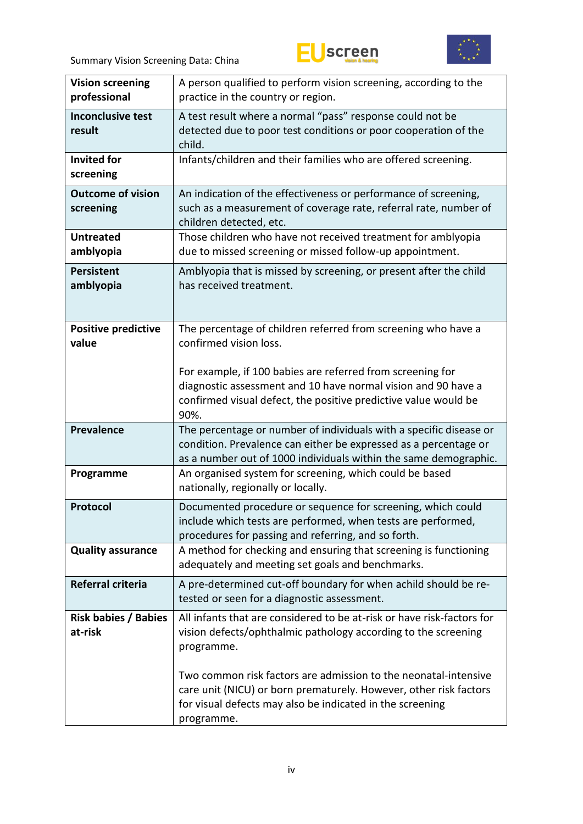



| <b>Vision screening</b><br>professional | A person qualified to perform vision screening, according to the<br>practice in the country or region.                                                                                                          |  |  |  |  |  |  |
|-----------------------------------------|-----------------------------------------------------------------------------------------------------------------------------------------------------------------------------------------------------------------|--|--|--|--|--|--|
| <b>Inconclusive test</b><br>result      | A test result where a normal "pass" response could not be<br>detected due to poor test conditions or poor cooperation of the<br>child.                                                                          |  |  |  |  |  |  |
| <b>Invited for</b><br>screening         | Infants/children and their families who are offered screening.                                                                                                                                                  |  |  |  |  |  |  |
| <b>Outcome of vision</b><br>screening   | An indication of the effectiveness or performance of screening,<br>such as a measurement of coverage rate, referral rate, number of<br>children detected, etc.                                                  |  |  |  |  |  |  |
| <b>Untreated</b><br>amblyopia           | Those children who have not received treatment for amblyopia<br>due to missed screening or missed follow-up appointment.                                                                                        |  |  |  |  |  |  |
| <b>Persistent</b><br>amblyopia          | Amblyopia that is missed by screening, or present after the child<br>has received treatment.                                                                                                                    |  |  |  |  |  |  |
| <b>Positive predictive</b><br>value     | The percentage of children referred from screening who have a<br>confirmed vision loss.                                                                                                                         |  |  |  |  |  |  |
|                                         | For example, if 100 babies are referred from screening for<br>diagnostic assessment and 10 have normal vision and 90 have a<br>confirmed visual defect, the positive predictive value would be<br>90%.          |  |  |  |  |  |  |
| Prevalence                              | The percentage or number of individuals with a specific disease or<br>condition. Prevalence can either be expressed as a percentage or<br>as a number out of 1000 individuals within the same demographic.      |  |  |  |  |  |  |
| Programme                               | An organised system for screening, which could be based<br>nationally, regionally or locally.                                                                                                                   |  |  |  |  |  |  |
| Protocol                                | Documented procedure or sequence for screening, which could<br>include which tests are performed, when tests are performed,<br>procedures for passing and referring, and so forth.                              |  |  |  |  |  |  |
| <b>Quality assurance</b>                | A method for checking and ensuring that screening is functioning<br>adequately and meeting set goals and benchmarks.                                                                                            |  |  |  |  |  |  |
| Referral criteria                       | A pre-determined cut-off boundary for when achild should be re-<br>tested or seen for a diagnostic assessment.                                                                                                  |  |  |  |  |  |  |
| <b>Risk babies / Babies</b><br>at-risk  | All infants that are considered to be at-risk or have risk-factors for<br>vision defects/ophthalmic pathology according to the screening<br>programme.                                                          |  |  |  |  |  |  |
|                                         | Two common risk factors are admission to the neonatal-intensive<br>care unit (NICU) or born prematurely. However, other risk factors<br>for visual defects may also be indicated in the screening<br>programme. |  |  |  |  |  |  |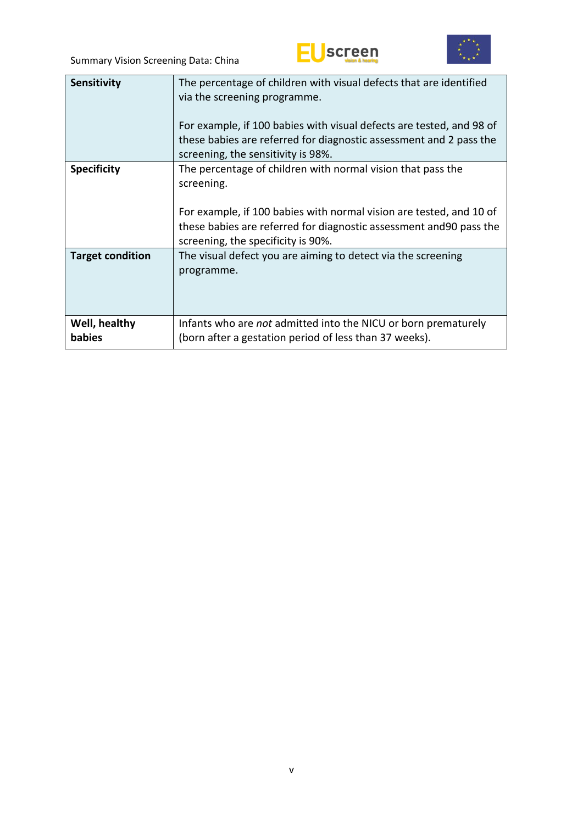



| Sensitivity                    | The percentage of children with visual defects that are identified<br>via the screening programme.<br>For example, if 100 babies with visual defects are tested, and 98 of<br>these babies are referred for diagnostic assessment and 2 pass the<br>screening, the sensitivity is 98%. |  |  |  |  |
|--------------------------------|----------------------------------------------------------------------------------------------------------------------------------------------------------------------------------------------------------------------------------------------------------------------------------------|--|--|--|--|
| <b>Specificity</b>             | The percentage of children with normal vision that pass the<br>screening.<br>For example, if 100 babies with normal vision are tested, and 10 of<br>these babies are referred for diagnostic assessment and 90 pass the<br>screening, the specificity is 90%.                          |  |  |  |  |
| <b>Target condition</b>        | The visual defect you are aiming to detect via the screening<br>programme.                                                                                                                                                                                                             |  |  |  |  |
| Well, healthy<br><b>babies</b> | Infants who are <i>not</i> admitted into the NICU or born prematurely<br>(born after a gestation period of less than 37 weeks).                                                                                                                                                        |  |  |  |  |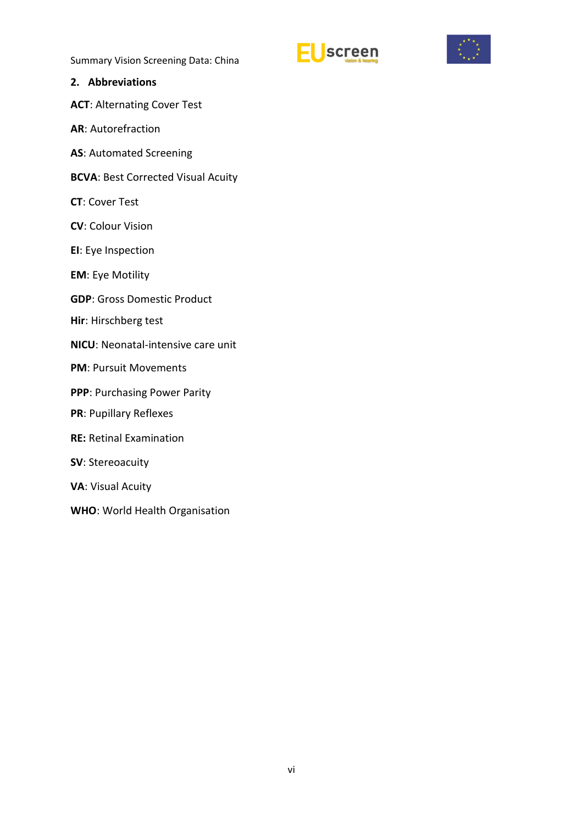



#### <span id="page-5-0"></span>**2. Abbreviations**

- **ACT**: Alternating Cover Test
- **AR**: Autorefraction
- **AS**: Automated Screening
- **BCVA**: Best Corrected Visual Acuity
- **CT**: Cover Test
- **CV**: Colour Vision
- **EI**: Eye Inspection
- **EM**: Eye Motility
- **GDP**: Gross Domestic Product
- **Hir**: Hirschberg test
- **NICU**: Neonatal-intensive care unit
- **PM**: Pursuit Movements
- **PPP**: Purchasing Power Parity
- **PR**: Pupillary Reflexes
- **RE:** Retinal Examination
- **SV**: Stereoacuity
- **VA**: Visual Acuity
- **WHO**: World Health Organisation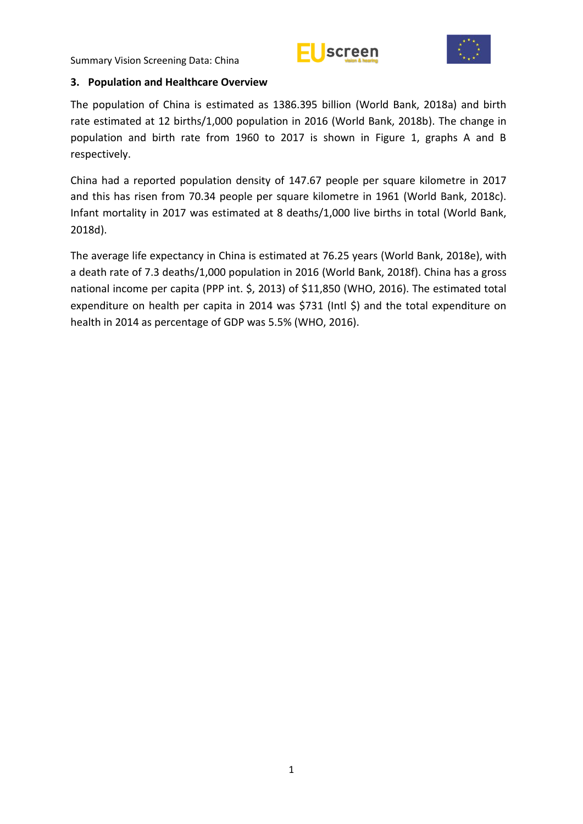



#### <span id="page-6-0"></span>**3. Population and Healthcare Overview**

The population of China is estimated as 1386.395 billion (World Bank, 2018a) and birth rate estimated at 12 births/1,000 population in 2016 (World Bank, 2018b). The change in population and birth rate from 1960 to 2017 is shown in Figure 1, graphs A and B respectively.

China had a reported population density of 147.67 people per square kilometre in 2017 and this has risen from 70.34 people per square kilometre in 1961 (World Bank, 2018c). Infant mortality in 2017 was estimated at 8 deaths/1,000 live births in total (World Bank, 2018d).

The average life expectancy in China is estimated at 76.25 years (World Bank, 2018e), with a death rate of 7.3 deaths/1,000 population in 2016 (World Bank, 2018f). China has a gross national income per capita (PPP int. \$, 2013) of \$11,850 (WHO, 2016). The estimated total expenditure on health per capita in 2014 was \$731 (Intl \$) and the total expenditure on health in 2014 as percentage of GDP was 5.5% (WHO, 2016).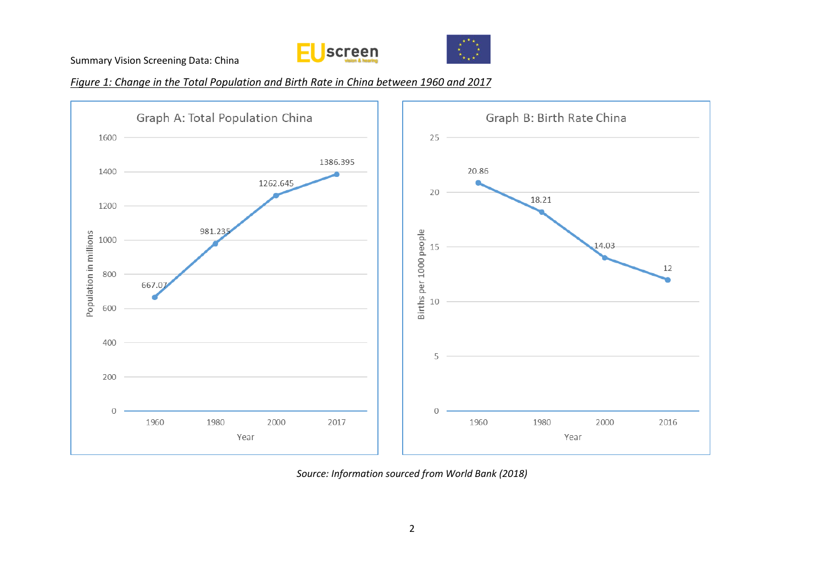



*Figure 1: Change in the Total Population and Birth Rate in China between 1960 and 2017*



*Source: Information sourced from World Bank (2018)*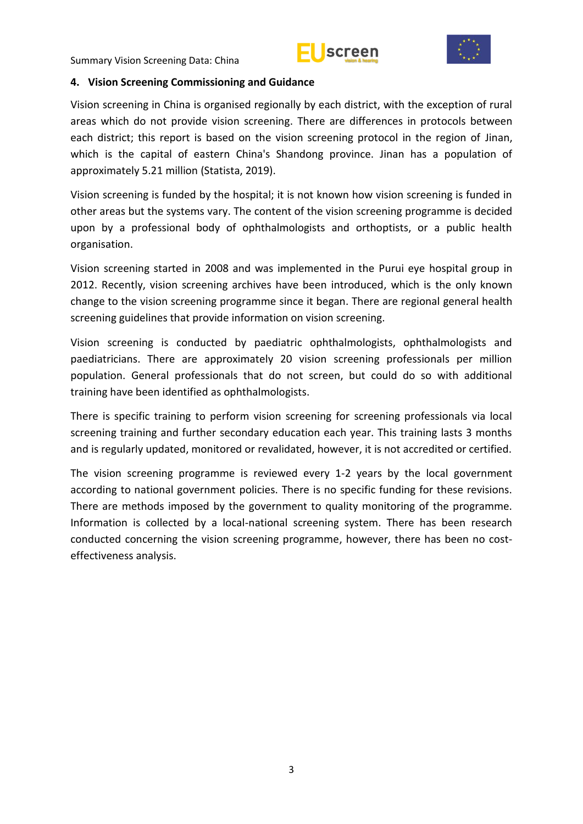



#### <span id="page-8-0"></span>**4. Vision Screening Commissioning and Guidance**

Vision screening in China is organised regionally by each district, with the exception of rural areas which do not provide vision screening. There are differences in protocols between each district; this report is based on the vision screening protocol in the region of Jinan, which is the capital of eastern China's Shandong province. Jinan has a population of approximately 5.21 million (Statista, 2019).

Vision screening is funded by the hospital; it is not known how vision screening is funded in other areas but the systems vary. The content of the vision screening programme is decided upon by a professional body of ophthalmologists and orthoptists, or a public health organisation.

Vision screening started in 2008 and was implemented in the Purui eye hospital group in 2012. Recently, vision screening archives have been introduced, which is the only known change to the vision screening programme since it began. There are regional general health screening guidelines that provide information on vision screening.

Vision screening is conducted by paediatric ophthalmologists, ophthalmologists and paediatricians. There are approximately 20 vision screening professionals per million population. General professionals that do not screen, but could do so with additional training have been identified as ophthalmologists.

There is specific training to perform vision screening for screening professionals via local screening training and further secondary education each year. This training lasts 3 months and is regularly updated, monitored or revalidated, however, it is not accredited or certified.

The vision screening programme is reviewed every 1-2 years by the local government according to national government policies. There is no specific funding for these revisions. There are methods imposed by the government to quality monitoring of the programme. Information is collected by a local-national screening system. There has been research conducted concerning the vision screening programme, however, there has been no costeffectiveness analysis.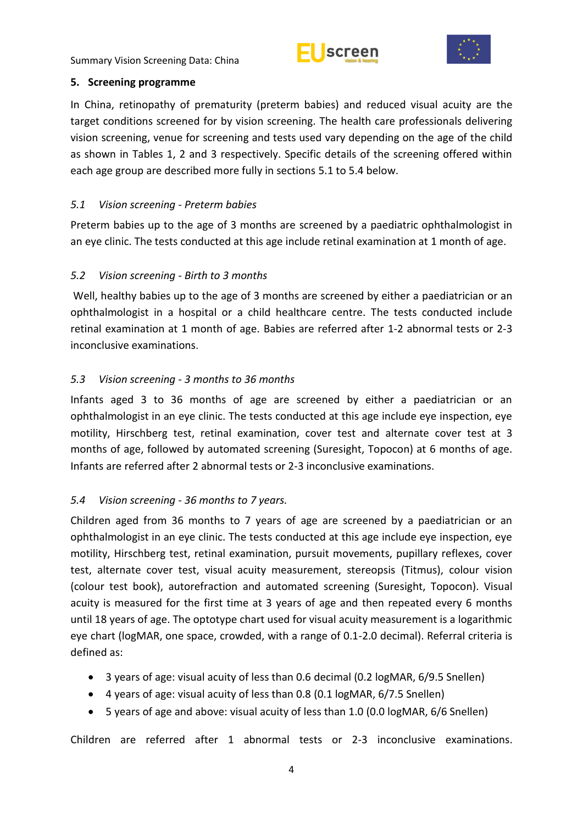



#### <span id="page-9-0"></span>**5. Screening programme**

In China, retinopathy of prematurity (preterm babies) and reduced visual acuity are the target conditions screened for by vision screening. The health care professionals delivering vision screening, venue for screening and tests used vary depending on the age of the child as shown in Tables 1, 2 and 3 respectively. Specific details of the screening offered within each age group are described more fully in sections 5.1 to 5.4 below.

# <span id="page-9-1"></span>*5.1 Vision screening - Preterm babies*

Preterm babies up to the age of 3 months are screened by a paediatric ophthalmologist in an eye clinic. The tests conducted at this age include retinal examination at 1 month of age.

# <span id="page-9-2"></span>*5.2 Vision screening - Birth to 3 months*

Well, healthy babies up to the age of 3 months are screened by either a paediatrician or an ophthalmologist in a hospital or a child healthcare centre. The tests conducted include retinal examination at 1 month of age. Babies are referred after 1-2 abnormal tests or 2-3 inconclusive examinations.

# <span id="page-9-3"></span>*5.3 Vision screening - 3 months to 36 months*

Infants aged 3 to 36 months of age are screened by either a paediatrician or an ophthalmologist in an eye clinic. The tests conducted at this age include eye inspection, eye motility, Hirschberg test, retinal examination, cover test and alternate cover test at 3 months of age, followed by automated screening (Suresight, Topocon) at 6 months of age. Infants are referred after 2 abnormal tests or 2-3 inconclusive examinations.

# <span id="page-9-4"></span>*5.4 Vision screening - 36 months to 7 years.*

Children aged from 36 months to 7 years of age are screened by a paediatrician or an ophthalmologist in an eye clinic. The tests conducted at this age include eye inspection, eye motility, Hirschberg test, retinal examination, pursuit movements, pupillary reflexes, cover test, alternate cover test, visual acuity measurement, stereopsis (Titmus), colour vision (colour test book), autorefraction and automated screening (Suresight, Topocon). Visual acuity is measured for the first time at 3 years of age and then repeated every 6 months until 18 years of age. The optotype chart used for visual acuity measurement is a logarithmic eye chart (logMAR, one space, crowded, with a range of 0.1-2.0 decimal). Referral criteria is defined as:

- 3 years of age: visual acuity of less than 0.6 decimal (0.2 logMAR, 6/9.5 Snellen)
- 4 years of age: visual acuity of less than 0.8 (0.1 logMAR, 6/7.5 Snellen)
- 5 years of age and above: visual acuity of less than 1.0 (0.0 logMAR, 6/6 Snellen)

Children are referred after 1 abnormal tests or 2-3 inconclusive examinations.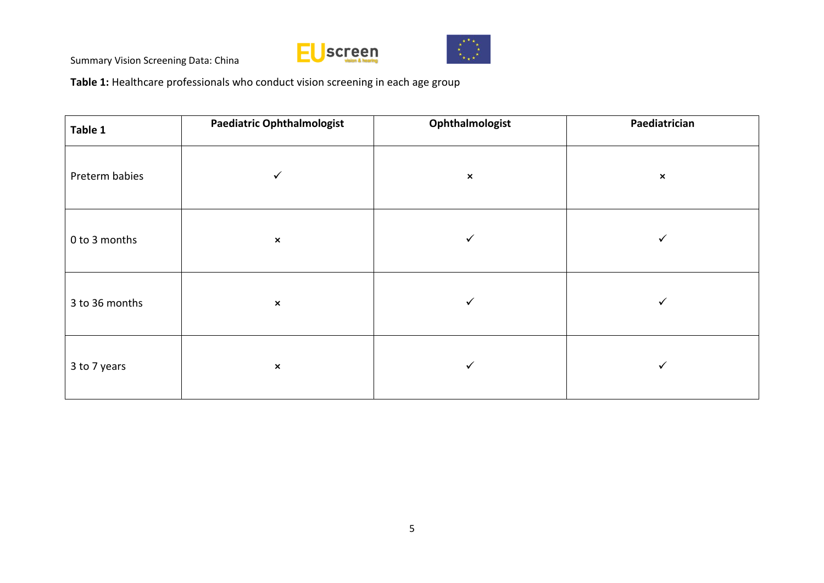



**Table 1:** Healthcare professionals who conduct vision screening in each age group

| Table 1        | <b>Paediatric Ophthalmologist</b> | Ophthalmologist | Paediatrician         |  |  |
|----------------|-----------------------------------|-----------------|-----------------------|--|--|
| Preterm babies | $\checkmark$                      | $\pmb{\times}$  | $\boldsymbol{\times}$ |  |  |
| 0 to 3 months  | $\pmb{\times}$                    | ✓               | ✓                     |  |  |
| 3 to 36 months | $\pmb{\times}$                    | ✓               | ✓                     |  |  |
| 3 to 7 years   | $\boldsymbol{\mathsf{x}}$         | ✓               | $\checkmark$          |  |  |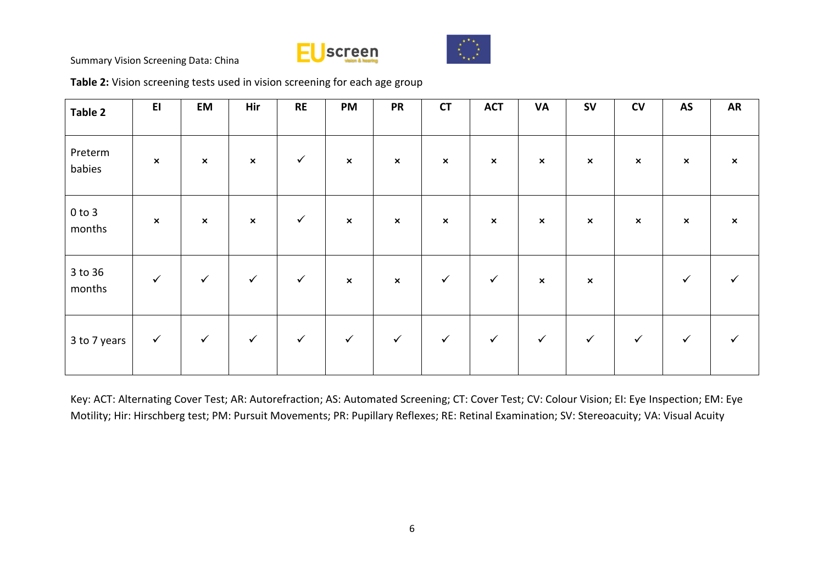



**Table 2:** Vision screening tests used in vision screening for each age group

| Table 2              | E1             | EM                        | Hir                       | <b>RE</b>    | PM                        | <b>PR</b>                 | <b>CT</b>                 | <b>ACT</b>     | <b>VA</b>      | <b>SV</b>                 | CV             | <b>AS</b>                 | <b>AR</b>                 |
|----------------------|----------------|---------------------------|---------------------------|--------------|---------------------------|---------------------------|---------------------------|----------------|----------------|---------------------------|----------------|---------------------------|---------------------------|
| Preterm<br>babies    | $\pmb{\times}$ | $\pmb{\times}$            | $\pmb{\times}$            | $\checkmark$ | $\boldsymbol{\mathsf{x}}$ | $\boldsymbol{\mathsf{x}}$ | $\boldsymbol{\mathsf{x}}$ | $\pmb{\times}$ | $\pmb{\times}$ | $\boldsymbol{\mathsf{x}}$ | $\pmb{\times}$ | $\boldsymbol{\mathsf{x}}$ | $\boldsymbol{\mathsf{x}}$ |
| $0$ to $3$<br>months | $\pmb{\times}$ | $\boldsymbol{\mathsf{x}}$ | $\boldsymbol{\mathsf{x}}$ | $\checkmark$ | $\boldsymbol{\mathsf{x}}$ | $\boldsymbol{\mathsf{x}}$ | $\boldsymbol{\mathsf{x}}$ | $\pmb{\times}$ | $\pmb{\times}$ | $\boldsymbol{\mathsf{x}}$ | $\pmb{\times}$ | $\boldsymbol{\mathsf{x}}$ | $\boldsymbol{\mathsf{x}}$ |
| 3 to 36<br>months    | $\checkmark$   | $\checkmark$              | $\checkmark$              | $\checkmark$ | $\boldsymbol{\mathsf{x}}$ | $\boldsymbol{\mathsf{x}}$ | $\checkmark$              | $\checkmark$   | $\pmb{\times}$ | $\boldsymbol{\mathsf{x}}$ |                | ✓                         |                           |
| 3 to 7 years         | $\checkmark$   | $\checkmark$              | $\checkmark$              | $\checkmark$ | $\checkmark$              | $\checkmark$              | $\checkmark$              | $\checkmark$   | $\checkmark$   | $\checkmark$              | $\checkmark$   | $\checkmark$              | $\checkmark$              |

Key: ACT: Alternating Cover Test; AR: Autorefraction; AS: Automated Screening; CT: Cover Test; CV: Colour Vision; EI: Eye Inspection; EM: Eye Motility; Hir: Hirschberg test; PM: Pursuit Movements; PR: Pupillary Reflexes; RE: Retinal Examination; SV: Stereoacuity; VA: Visual Acuity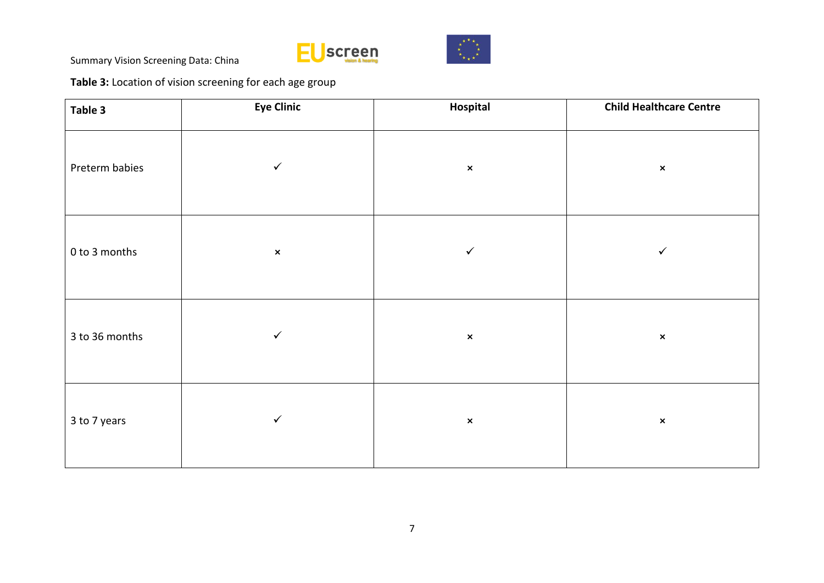



**Table 3:** Location of vision screening for each age group

| Table 3        | <b>Eye Clinic</b> | Hospital       | <b>Child Healthcare Centre</b> |  |  |
|----------------|-------------------|----------------|--------------------------------|--|--|
| Preterm babies | $\checkmark$      | $\pmb{\times}$ | $\pmb{\times}$                 |  |  |
| 0 to 3 months  | $\mathsf{x}$      | $\checkmark$   | $\checkmark$                   |  |  |
| 3 to 36 months | $\checkmark$      | $\pmb{\times}$ | $\pmb{\times}$                 |  |  |
| 3 to 7 years   | $\checkmark$      | $\pmb{\times}$ | $\pmb{\times}$                 |  |  |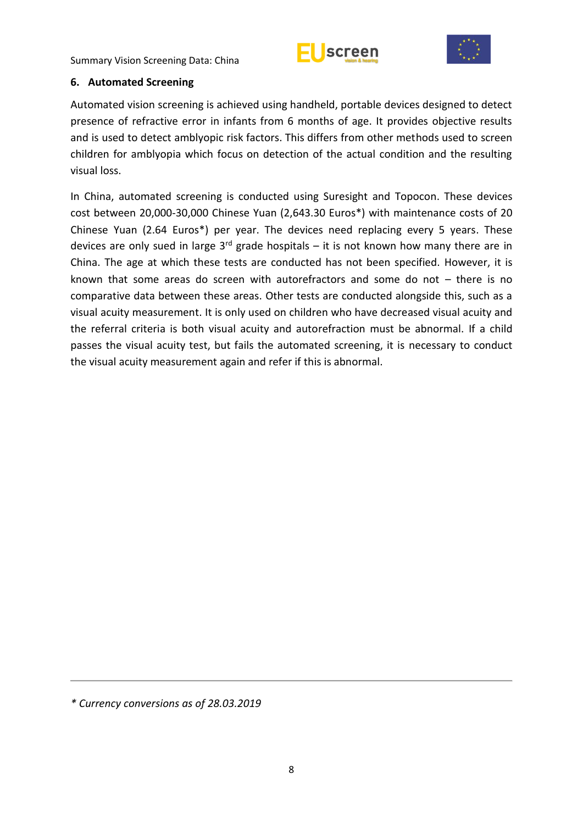



#### <span id="page-13-0"></span>**6. Automated Screening**

Automated vision screening is achieved using handheld, portable devices designed to detect presence of refractive error in infants from 6 months of age. It provides objective results and is used to detect amblyopic risk factors. This differs from other methods used to screen children for amblyopia which focus on detection of the actual condition and the resulting visual loss.

In China, automated screening is conducted using Suresight and Topocon. These devices cost between 20,000-30,000 Chinese Yuan (2,643.30 Euros\*) with maintenance costs of 20 Chinese Yuan (2.64 Euros\*) per year. The devices need replacing every 5 years. These devices are only sued in large  $3<sup>rd</sup>$  grade hospitals – it is not known how many there are in China. The age at which these tests are conducted has not been specified. However, it is known that some areas do screen with autorefractors and some do not – there is no comparative data between these areas. Other tests are conducted alongside this, such as a visual acuity measurement. It is only used on children who have decreased visual acuity and the referral criteria is both visual acuity and autorefraction must be abnormal. If a child passes the visual acuity test, but fails the automated screening, it is necessary to conduct the visual acuity measurement again and refer if this is abnormal.

*\* Currency conversions as of 28.03.2019*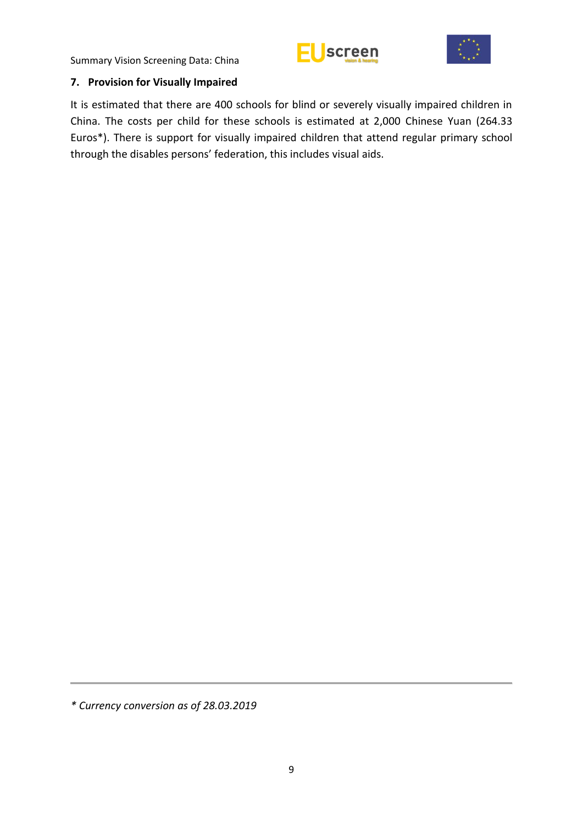



#### <span id="page-14-0"></span>**7. Provision for Visually Impaired**

It is estimated that there are 400 schools for blind or severely visually impaired children in China. The costs per child for these schools is estimated at 2,000 Chinese Yuan (264.33 Euros\*). There is support for visually impaired children that attend regular primary school through the disables persons' federation, this includes visual aids.

*<sup>\*</sup> Currency conversion as of 28.03.2019*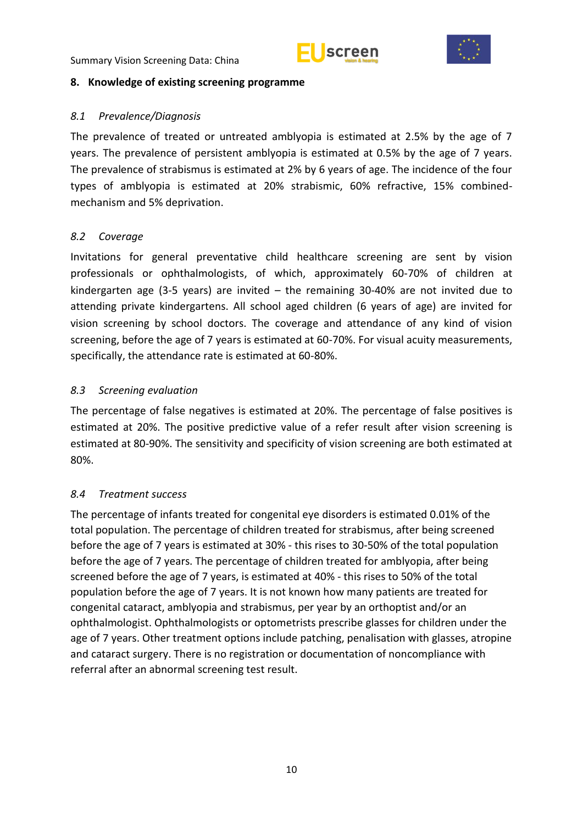



#### <span id="page-15-0"></span>**8. Knowledge of existing screening programme**

## <span id="page-15-1"></span>*8.1 Prevalence/Diagnosis*

The prevalence of treated or untreated amblyopia is estimated at 2.5% by the age of 7 years. The prevalence of persistent amblyopia is estimated at 0.5% by the age of 7 years. The prevalence of strabismus is estimated at 2% by 6 years of age. The incidence of the four types of amblyopia is estimated at 20% strabismic, 60% refractive, 15% combinedmechanism and 5% deprivation.

# <span id="page-15-2"></span>*8.2 Coverage*

Invitations for general preventative child healthcare screening are sent by vision professionals or ophthalmologists, of which, approximately 60-70% of children at kindergarten age (3-5 years) are invited – the remaining 30-40% are not invited due to attending private kindergartens. All school aged children (6 years of age) are invited for vision screening by school doctors. The coverage and attendance of any kind of vision screening, before the age of 7 years is estimated at 60-70%. For visual acuity measurements, specifically, the attendance rate is estimated at 60-80%.

# <span id="page-15-3"></span>*8.3 Screening evaluation*

The percentage of false negatives is estimated at 20%. The percentage of false positives is estimated at 20%. The positive predictive value of a refer result after vision screening is estimated at 80-90%. The sensitivity and specificity of vision screening are both estimated at 80%.

# <span id="page-15-4"></span>*8.4 Treatment success*

The percentage of infants treated for congenital eye disorders is estimated 0.01% of the total population. The percentage of children treated for strabismus, after being screened before the age of 7 years is estimated at 30% - this rises to 30-50% of the total population before the age of 7 years. The percentage of children treated for amblyopia, after being screened before the age of 7 years, is estimated at 40% - this rises to 50% of the total population before the age of 7 years. It is not known how many patients are treated for congenital cataract, amblyopia and strabismus, per year by an orthoptist and/or an ophthalmologist. Ophthalmologists or optometrists prescribe glasses for children under the age of 7 years. Other treatment options include patching, penalisation with glasses, atropine and cataract surgery. There is no registration or documentation of noncompliance with referral after an abnormal screening test result.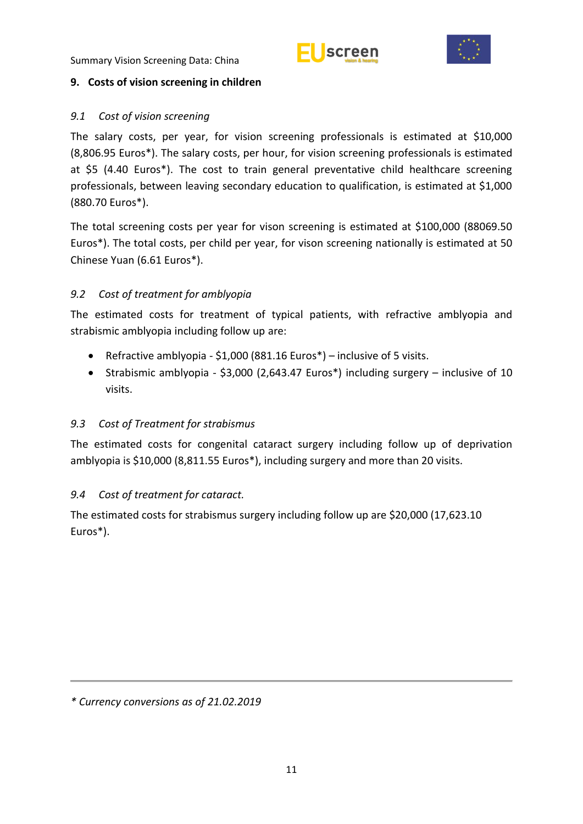



## <span id="page-16-0"></span>**9. Costs of vision screening in children**

# <span id="page-16-1"></span>*9.1 Cost of vision screening*

The salary costs, per year, for vision screening professionals is estimated at \$10,000 (8,806.95 Euros\*). The salary costs, per hour, for vision screening professionals is estimated at \$5 (4.40 Euros\*). The cost to train general preventative child healthcare screening professionals, between leaving secondary education to qualification, is estimated at \$1,000 (880.70 Euros\*).

The total screening costs per year for vison screening is estimated at \$100,000 (88069.50 Euros\*). The total costs, per child per year, for vison screening nationally is estimated at 50 Chinese Yuan (6.61 Euros\*).

# <span id="page-16-2"></span>*9.2 Cost of treatment for amblyopia*

The estimated costs for treatment of typical patients, with refractive amblyopia and strabismic amblyopia including follow up are:

- Refractive amblyopia \$1,000 (881.16 Euros\*) inclusive of 5 visits.
- Strabismic amblyopia \$3,000 (2,643.47 Euros\*) including surgery inclusive of 10 visits.

# <span id="page-16-3"></span>*9.3 Cost of Treatment for strabismus*

The estimated costs for congenital cataract surgery including follow up of deprivation amblyopia is \$10,000 (8,811.55 Euros\*), including surgery and more than 20 visits.

# <span id="page-16-4"></span>*9.4 Cost of treatment for cataract.*

The estimated costs for strabismus surgery including follow up are \$20,000 (17,623.10 Euros\*).

*\* Currency conversions as of 21.02.2019*